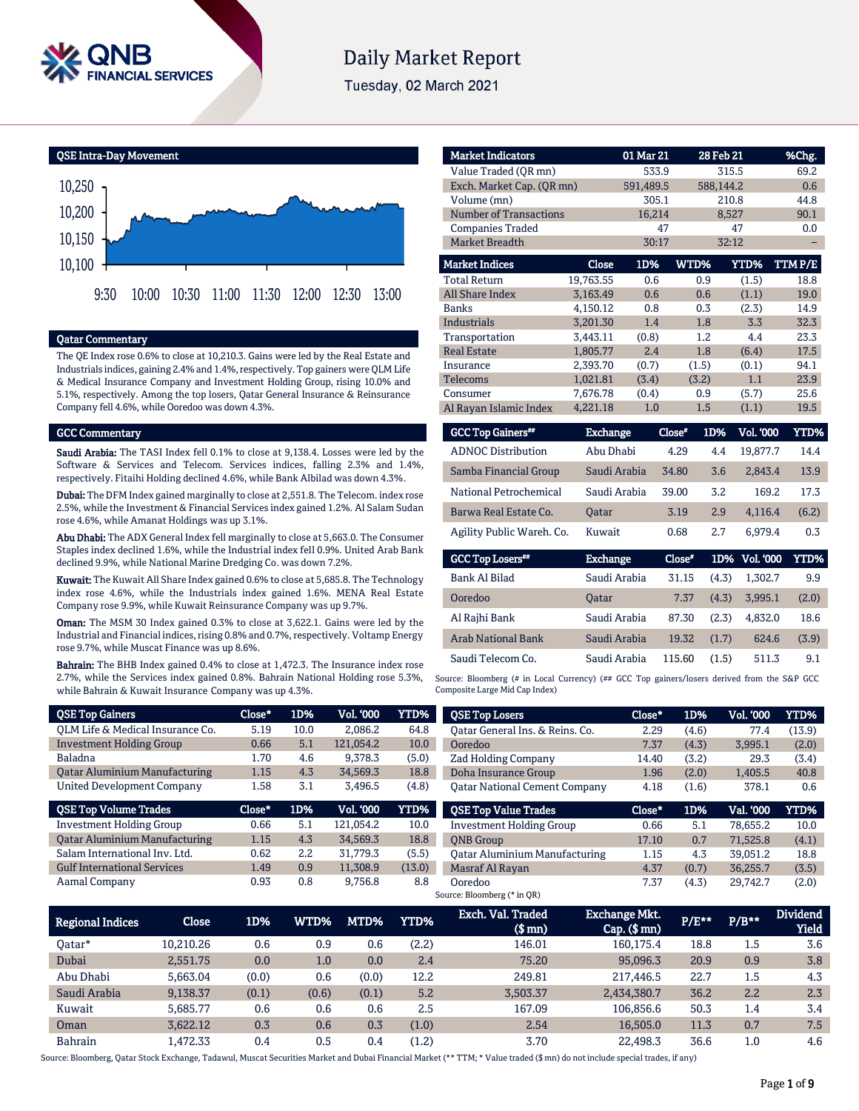

# **Daily Market Report**

Tuesday, 02 March 2021

QSE Intra-Day Movement



#### Qatar Commentary

The QE Index rose 0.6% to close at 10,210.3. Gains were led by the Real Estate and Industrials indices, gaining 2.4% and 1.4%, respectively. Top gainers were QLM Life & Medical Insurance Company and Investment Holding Group, rising 10.0% and 5.1%, respectively. Among the top losers, Qatar General Insurance & Reinsurance Company fell 4.6%, while Ooredoo was down 4.3%.

#### GCC Commentary

Saudi Arabia: The TASI Index fell 0.1% to close at 9,138.4. Losses were led by the Software & Services and Telecom. Services indices, falling 2.3% and 1.4%, respectively. Fitaihi Holding declined 4.6%, while Bank Albilad was down 4.3%.

Dubai: The DFM Index gained marginally to close at 2,551.8. The Telecom. index rose 2.5%, while the Investment & Financial Services index gained 1.2%. Al Salam Sudan rose 4.6%, while Amanat Holdings was up 3.1%.

Abu Dhabi: The ADX General Index fell marginally to close at 5,663.0. The Consumer Staples index declined 1.6%, while the Industrial index fell 0.9%. United Arab Bank declined 9.9%, while National Marine Dredging Co. was down 7.2%.

Kuwait: The Kuwait All Share Index gained 0.6% to close at 5,685.8. The Technology index rose 4.6%, while the Industrials index gained 1.6%. MENA Real Estate Company rose 9.9%, while Kuwait Reinsurance Company was up 9.7%.

Oman: The MSM 30 Index gained 0.3% to close at 3,622.1. Gains were led by the Industrial and Financial indices, rising 0.8% and 0.7%, respectively. Voltamp Energy rose 9.7%, while Muscat Finance was up 8.6%.

Bahrain: The BHB Index gained 0.4% to close at 1,472.3. The Insurance index rose 2.7%, while the Services index gained 0.8%. Bahrain National Holding rose 5.3%, while Bahrain & Kuwait Insurance Company was up 4.3%.

| <b>Market Indicators</b>      |                 | 01 Mar 21 |               | 28 Feb 21 | %Chg.         |
|-------------------------------|-----------------|-----------|---------------|-----------|---------------|
| Value Traded (OR mn)          |                 | 533.9     |               | 315.5     | 69.2          |
| Exch. Market Cap. (OR mn)     |                 | 591,489.5 |               | 588,144.2 | 0.6           |
| Volume (mn)                   |                 | 305.1     |               | 210.8     | 44.8          |
| <b>Number of Transactions</b> |                 | 16,214    |               | 8,527     | 90.1          |
| <b>Companies Traded</b>       |                 | 47        |               | 47        | 0.0           |
| <b>Market Breadth</b>         |                 | 30:17     |               | 32:12     |               |
| <b>Market Indices</b>         | Close           | 1D%       | <b>WTD%</b>   | YTD%      | <b>TTMP/E</b> |
| <b>Total Return</b>           | 19,763.55       | 0.6       | 0.9           | (1.5)     | 18.8          |
| All Share Index               | 3.163.49        | 0.6       | 0.6           | (1.1)     | 19.0          |
| Banks                         | 4,150.12        | 0.8       | 0.3           | (2.3)     | 14.9          |
| <b>Industrials</b>            | 3,201.30        | 1.4       | 1.8           | 3.3       | 32.3          |
| Transportation                | 3,443.11        | (0.8)     | 1.2           | 4.4       | 23.3          |
| <b>Real Estate</b>            | 1.805.77        | 2.4       | 1.8           | (6.4)     | 17.5          |
| Insurance                     | 2,393.70        | (0.7)     | (1.5)         | (0.1)     | 94.1          |
| <b>Telecoms</b>               | 1,021.81        | (3.4)     | (3.2)         | 1.1       | 23.9          |
| Consumer                      | 7,676.78        | (0.4)     | 0.9           | (5.7)     | 25.6          |
| Al Rayan Islamic Index        | 4,221.18        | 1.0       | 1.5           | (1.1)     | 19.5          |
| <b>GCC Top Gainers</b> "      | <b>Exchange</b> |           | Close*<br>1D% | Vol. '000 | YTD%          |

| <b>OCC TOP GENERS</b>     | <b>LAURILE</b> | сюж   | ,,,, | vu. uvu  | ,,,,,, |
|---------------------------|----------------|-------|------|----------|--------|
| <b>ADNOC Distribution</b> | Abu Dhabi      | 4.29  | 4.4  | 19.877.7 | 14.4   |
| Samba Financial Group     | Saudi Arabia   | 34.80 | 3.6  | 2.843.4  | 13.9   |
| National Petrochemical    | Saudi Arabia   | 39.00 | 3.2  | 169.2    | 17.3   |
| Barwa Real Estate Co.     | <b>Oatar</b>   | 3.19  | 2.9  | 4.116.4  | (6.2)  |
| Agility Public Wareh. Co. | Kuwait         | 0.68  | 2.7  | 6.979.4  | 0.3    |

| <b>GCC Top Losers</b>     | <b>Exchange</b> | Close" |       | 1D% Vol. 000 | YTD%  |
|---------------------------|-----------------|--------|-------|--------------|-------|
| Bank Al Bilad             | Saudi Arabia    | 31.15  | (4.3) | 1.302.7      | 9.9   |
| Ooredoo                   | <b>Oatar</b>    | 7.37   | (4.3) | 3.995.1      | (2.0) |
| Al Rajhi Bank             | Saudi Arabia    | 87.30  | (2.3) | 4.832.0      | 18.6  |
| <b>Arab National Bank</b> | Saudi Arabia    | 19.32  | (1.7) | 624.6        | (3.9) |
| Saudi Telecom Co.         | Saudi Arabia    | 115.60 | (1.5) | 511.3        | 9.1   |

Source: Bloomberg (# in Local Currency) (## GCC Top gainers/losers derived from the S&P GCC Composite Large Mid Cap Index)

| <b>QSE Top Gainers</b>               |              | Close*        | 1D%           | <b>Vol. '000</b> | <b>YTD%</b> | <b>QSE Top Losers</b>                | Close*                                                                                                                                                                                                                                                                                                                                                                                 | 1D%           | <b>Vol. '000</b> | YTD%                            |
|--------------------------------------|--------------|---------------|---------------|------------------|-------------|--------------------------------------|----------------------------------------------------------------------------------------------------------------------------------------------------------------------------------------------------------------------------------------------------------------------------------------------------------------------------------------------------------------------------------------|---------------|------------------|---------------------------------|
| OLM Life & Medical Insurance Co.     |              | 5.19          | 10.0          | 2,086.2          | 64.8        | Oatar General Ins. & Reins. Co.      | 2.29                                                                                                                                                                                                                                                                                                                                                                                   | (4.6)         | 77.4             | (13.9)                          |
| <b>Investment Holding Group</b>      |              | 0.66          | 5.1           | 121,054.2        | 10.0        | <b>Ooredoo</b>                       | 7.37                                                                                                                                                                                                                                                                                                                                                                                   | (4.3)         | 3,995.1          | (2.0)                           |
| Baladna                              |              | 1.70          | 4.6           | 9,378.3          | (5.0)       | Zad Holding Company                  | 14.40                                                                                                                                                                                                                                                                                                                                                                                  | (3.2)         | 29.3             | (3.4)                           |
| <b>Qatar Aluminium Manufacturing</b> |              | 1.15          | 4.3           | 34,569.3         | 18.8        | Doha Insurance Group                 | 1.96                                                                                                                                                                                                                                                                                                                                                                                   | (2.0)         | 1,405.5          | 40.8                            |
| <b>United Development Company</b>    |              | 1.58          | 3.1           | 3,496.5          | (4.8)       | <b>Qatar National Cement Company</b> | 4.18                                                                                                                                                                                                                                                                                                                                                                                   | (1.6)         | 378.1            | 0.6                             |
| <b>QSE Top Volume Trades</b>         |              | Close*        | 1D%           | <b>Vol. '000</b> | <b>YTD%</b> | <b>OSE Top Value Trades</b>          | Close*                                                                                                                                                                                                                                                                                                                                                                                 | 1D%           | Val. '000        | YTD%                            |
| <b>Investment Holding Group</b>      |              | 0.66          | 5.1           | 121,054.2        | 10.0        | <b>Investment Holding Group</b>      | 0.66                                                                                                                                                                                                                                                                                                                                                                                   | 5.1           | 78,655.2         | 10.0                            |
| <b>Oatar Aluminium Manufacturing</b> |              | 1.15          | 4.3           | 34,569.3         | 18.8        | <b>ONB</b> Group                     | 17.10                                                                                                                                                                                                                                                                                                                                                                                  | 0.7           | 71,525.8         | (4.1)                           |
| Salam International Inv. Ltd.        |              | 0.62          | 2.2           | 31,779.3         | (5.5)       | <b>Qatar Aluminium Manufacturing</b> | 1.15                                                                                                                                                                                                                                                                                                                                                                                   | 4.3           | 39,051.2         | 18.8                            |
| <b>Gulf International Services</b>   |              | 1.49          | 0.9           | 11.308.9         | (13.0)      | Masraf Al Rayan                      | 4.37                                                                                                                                                                                                                                                                                                                                                                                   | (0.7)         | 36,255.7         | (3.5)                           |
| Aamal Company                        |              | 0.93          | 0.8           | 9,756.8          | 8.8         | Ooredoo                              | 7.37                                                                                                                                                                                                                                                                                                                                                                                   | (4.3)         | 29,742.7         | (2.0)                           |
|                                      |              |               |               |                  |             | Source: Bloomberg (* in QR)          |                                                                                                                                                                                                                                                                                                                                                                                        |               |                  |                                 |
| <b>Regional Indices</b>              | <b>Close</b> | 1D%           | WTD%          | MTD%             | YTD%        | Exch. Val. Traded<br>$$$ mn $)$      | <b>Exchange Mkt.</b><br>Cap.(\$mn)                                                                                                                                                                                                                                                                                                                                                     | $P/E***$      | $P/B**$          | <b>Dividend</b><br><b>Yield</b> |
| $\sim$ $\sim$ $\sim$                 | $10.010.00$  | $\sim$ $\sim$ | $\sim$ $\sim$ | $\sim$ $\sim$    | (0.01)      | 1.0.01                               | $\begin{array}{c} \n \text{100} \\ \text{1111} \\ \text{1211} \\ \text{1311} \\ \text{1411} \\ \text{1511} \\ \text{1611} \\ \text{1711} \\ \text{1811} \\ \text{1911} \\ \text{1911} \\ \text{1911} \\ \text{1911} \\ \text{1911} \\ \text{1911} \\ \text{1911} \\ \text{1911} \\ \text{1911} \\ \text{1911} \\ \text{1911} \\ \text{1911} \\ \text{1911} \\ \text{1911} \\ \text{19$ | $\sim$ $\sim$ | $\sim$ $\sim$    | $\sim$ $\sim$                   |

| Regional Indices | Close     | 1D%   | WTD%  | MTD%  | YTD%  | (\$ mn)  | -------<br>Cap. (\$ mn) | <b>P/E**</b> | $P/B***$ | -----------<br><b>Yield</b> |
|------------------|-----------|-------|-------|-------|-------|----------|-------------------------|--------------|----------|-----------------------------|
| Oatar*           | 10.210.26 | 0.6   | 0.9   | 0.6   | (2.2) | 146.01   | 160.175.4               | 18.8         | 1.5      | 3.6                         |
| Dubai            | 2.551.75  | 0.0   | 1.0   | 0.0   | 2.4   | 75.20    | 95.096.3                | 20.9         | 0.9      | 3.8                         |
| Abu Dhabi        | 5.663.04  | (0.0) | 0.6   | (0.0) | 12.2  | 249.81   | 217,446.5               | 22.7         | 1.5      | 4.3                         |
| Saudi Arabia     | 9,138.37  | (0.1) | (0.6) | (0.1) | 5.2   | 3.503.37 | 2,434,380.7             | 36.2         | 2.2      | 2.3                         |
| Kuwait           | 5.685.77  | 0.6   | 0.6   | 0.6   | 2.5   | 167.09   | 106.856.6               | 50.3         | 1.4      | 3.4                         |
| Oman             | 3.622.12  | 0.3   | 0.6   | 0.3   | (1.0) | 2.54     | 16,505.0                | 11.3         | 0.7      | 7.5                         |
| Bahrain          | L.472.33  | 0.4   | 0.5   | 0.4   | (1.2) | 3.70     | 22.498.3                | 36.6         | 1.0      | 4.6                         |

Source: Bloomberg, Qatar Stock Exchange, Tadawul, Muscat Securities Market and Dubai Financial Market (\*\* TTM; \* Value traded (\$ mn) do not include special trades, if any)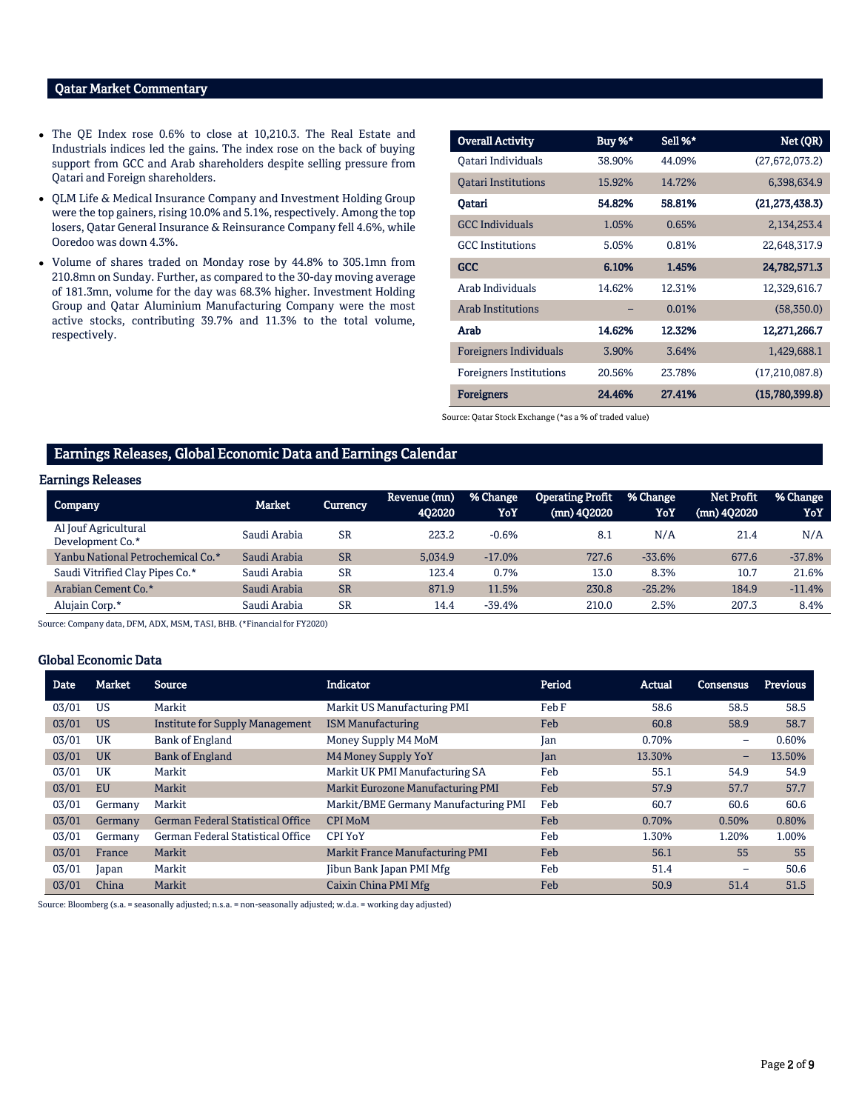### Qatar Market Commentary

- The QE Index rose 0.6% to close at 10,210.3. The Real Estate and Industrials indices led the gains. The index rose on the back of buying support from GCC and Arab shareholders despite selling pressure from Qatari and Foreign shareholders.
- QLM Life & Medical Insurance Company and Investment Holding Group were the top gainers, rising 10.0% and 5.1%, respectively. Among the top losers, Qatar General Insurance & Reinsurance Company fell 4.6%, while Ooredoo was down 4.3%.
- Volume of shares traded on Monday rose by 44.8% to 305.1mn from 210.8mn on Sunday. Further, as compared to the 30-day moving average of 181.3mn, volume for the day was 68.3% higher. Investment Holding Group and Qatar Aluminium Manufacturing Company were the most active stocks, contributing 39.7% and 11.3% to the total volume, respectively.

| <b>Overall Activity</b>        | Buy %* | Sell %* | Net (QR)         |
|--------------------------------|--------|---------|------------------|
| Oatari Individuals             | 38.90% | 44.09%  | (27,672,073.2)   |
| <b>Oatari Institutions</b>     | 15.92% | 14.72%  | 6,398,634.9      |
| Oatari                         | 54.82% | 58.81%  | (21, 273, 438.3) |
| <b>GCC Individuals</b>         | 1.05%  | 0.65%   | 2,134,253.4      |
| <b>GCC</b> Institutions        | 5.05%  | 0.81%   | 22,648,317.9     |
| <b>GCC</b>                     | 6.10%  | 1.45%   | 24,782,571.3     |
| Arab Individuals               | 14.62% | 12.31%  | 12,329,616.7     |
| <b>Arab Institutions</b>       |        | 0.01%   | (58,350.0)       |
| Arab                           | 14.62% | 12.32%  | 12,271,266.7     |
| Foreigners Individuals         | 3.90%  | 3.64%   | 1,429,688.1      |
| <b>Foreigners Institutions</b> | 20.56% | 23.78%  | (17,210,087.8)   |
| <b>Foreigners</b>              | 24.46% | 27.41%  | (15,780,399.8)   |

Source: Qatar Stock Exchange (\*as a % of traded value)

#### Earnings Releases, Global Economic Data and Earnings Calendar

#### Earnings Releases

| Company                                  | <b>Market</b> | <b>Currency</b> | Revenue (mn)<br>402020 | % Change<br>YoY | <b>Operating Profit</b><br>$(mn)$ 402020 | % Change<br>YoY | <b>Net Profit</b><br>(mn) 402020 | % Change<br>YoY |
|------------------------------------------|---------------|-----------------|------------------------|-----------------|------------------------------------------|-----------------|----------------------------------|-----------------|
| Al Jouf Agricultural<br>Development Co.* | Saudi Arabia  | <b>SR</b>       | 223.2                  | $-0.6%$         | 8.1                                      | N/A             | 21.4                             | N/A             |
| Yanbu National Petrochemical Co.*        | Saudi Arabia  | <b>SR</b>       | 5.034.9                | $-17.0%$        | 727.6                                    | $-33.6%$        | 677.6                            | $-37.8%$        |
| Saudi Vitrified Clay Pipes Co.*          | Saudi Arabia  | <b>SR</b>       | 123.4                  | 0.7%            | 13.0                                     | 8.3%            | 10.7                             | 21.6%           |
| Arabian Cement Co.*                      | Saudi Arabia  | <b>SR</b>       | 871.9                  | 11.5%           | 230.8                                    | $-25.2%$        | 184.9                            | $-11.4%$        |
| Alujain Corp.*                           | Saudi Arabia  | <b>SR</b>       | 14.4                   | $-39.4%$        | 210.0                                    | 2.5%            | 207.3                            | 8.4%            |

Source: Company data, DFM, ADX, MSM, TASI, BHB. (\*Financial for FY2020)

#### Global Economic Data

| Date  | <b>Market</b> | <b>Source</b>                            | Indicator                            | Period | Actual | Consensus                | <b>Previous</b> |
|-------|---------------|------------------------------------------|--------------------------------------|--------|--------|--------------------------|-----------------|
| 03/01 | US            | Markit                                   | Markit US Manufacturing PMI          | Feb F  | 58.6   | 58.5                     | 58.5            |
| 03/01 | <b>US</b>     | Institute for Supply Management          | <b>ISM Manufacturing</b>             | Feb    | 60.8   | 58.9                     | 58.7            |
| 03/01 | UK            | <b>Bank of England</b>                   | Money Supply M4 MoM                  | Jan    | 0.70%  | $\overline{\phantom{0}}$ | 0.60%           |
| 03/01 | <b>UK</b>     | <b>Bank of England</b>                   | M4 Money Supply YoY                  | Jan    | 13.30% | -                        | 13.50%          |
| 03/01 | UK            | Markit                                   | Markit UK PMI Manufacturing SA       | Feb    | 55.1   | 54.9                     | 54.9            |
| 03/01 | <b>EU</b>     | Markit                                   | Markit Eurozone Manufacturing PMI    | Feb    | 57.9   | 57.7                     | 57.7            |
| 03/01 | Germany       | Markit                                   | Markit/BME Germany Manufacturing PMI | Feb    | 60.7   | 60.6                     | 60.6            |
| 03/01 | Germany       | <b>German Federal Statistical Office</b> | <b>CPI MoM</b>                       | Feb    | 0.70%  | 0.50%                    | 0.80%           |
| 03/01 | Germany       | German Federal Statistical Office        | <b>CPI YoY</b>                       | Feb    | 1.30%  | 1.20%                    | 1.00%           |
| 03/01 | France        | Markit                                   | Markit France Manufacturing PMI      | Feb    | 56.1   | 55                       | 55              |
| 03/01 | Japan         | Markit                                   | Jibun Bank Japan PMI Mfg             | Feb    | 51.4   | -                        | 50.6            |
| 03/01 | China         | Markit                                   | Caixin China PMI Mfg                 | Feb    | 50.9   | 51.4                     | 51.5            |

Source: Bloomberg (s.a. = seasonally adjusted; n.s.a. = non-seasonally adjusted; w.d.a. = working day adjusted)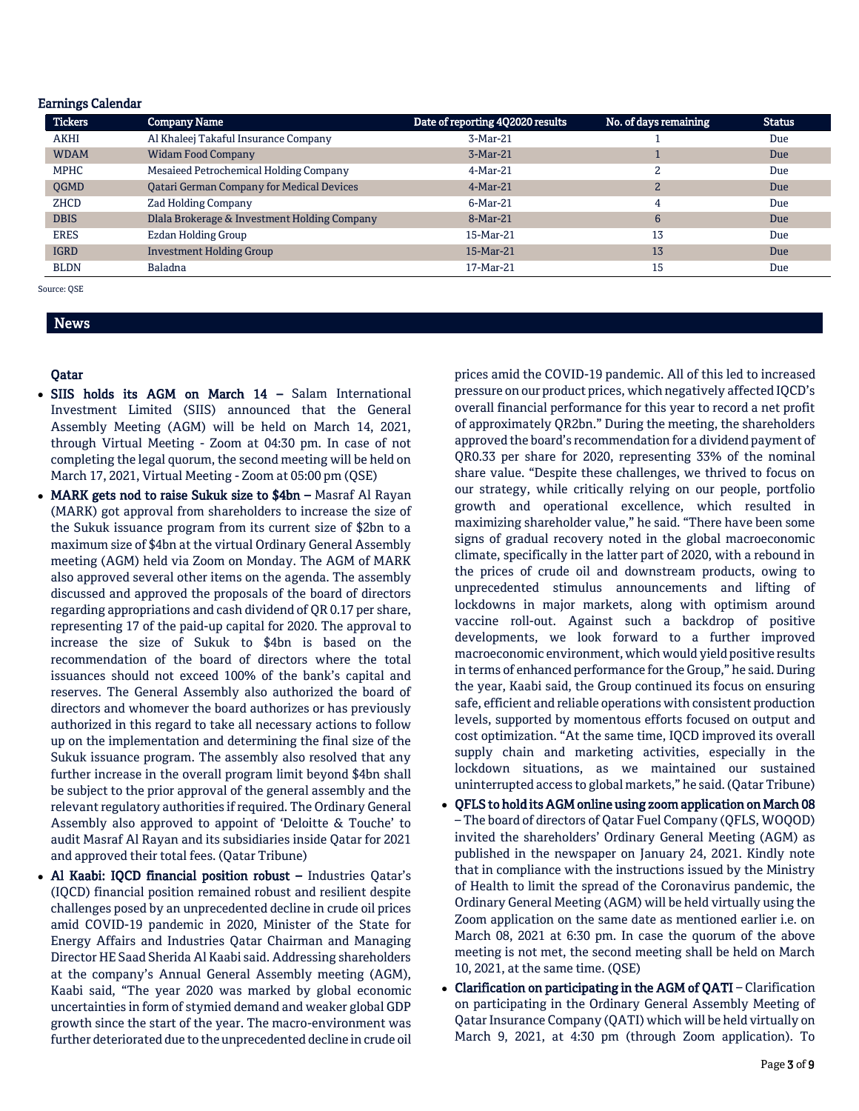#### Earnings Calendar

| <b>Tickers</b> | <b>Company Name</b>                              | Date of reporting 4Q2020 results | No. of days remaining | <b>Status</b> |
|----------------|--------------------------------------------------|----------------------------------|-----------------------|---------------|
| <b>AKHI</b>    | Al Khaleej Takaful Insurance Company             | $3-Mar-21$                       |                       | Due           |
| <b>WDAM</b>    | <b>Widam Food Company</b>                        | $3-Mar-21$                       |                       | Due           |
| <b>MPHC</b>    | Mesaieed Petrochemical Holding Company           | 4-Mar-21                         | 2                     | Due           |
| <b>OGMD</b>    | <b>Qatari German Company for Medical Devices</b> | $4-Mar-21$                       | 2                     | Due           |
| <b>ZHCD</b>    | Zad Holding Company                              | $6-Mar-21$                       | 4                     | Due           |
| <b>DBIS</b>    | Dlala Brokerage & Investment Holding Company     | 8-Mar-21                         | 6                     | Due           |
| <b>ERES</b>    | Ezdan Holding Group                              | 15-Mar-21                        | 13                    | Due           |
| <b>IGRD</b>    | <b>Investment Holding Group</b>                  | 15-Mar-21                        | 13                    | Due           |
| <b>BLDN</b>    | Baladna                                          | 17-Mar-21                        | 15                    | Due           |

Source: QSE

## News

#### Qatar

- SIIS holds its AGM on March 14 Salam International Investment Limited (SIIS) announced that the General Assembly Meeting (AGM) will be held on March 14, 2021, through Virtual Meeting - Zoom at 04:30 pm. In case of not completing the legal quorum, the second meeting will be held on March 17, 2021, Virtual Meeting - Zoom at 05:00 pm (QSE)
- MARK gets nod to raise Sukuk size to \$4bn Masraf Al Rayan (MARK) got approval from shareholders to increase the size of the Sukuk issuance program from its current size of \$2bn to a maximum size of \$4bn at the virtual Ordinary General Assembly meeting (AGM) held via Zoom on Monday. The AGM of MARK also approved several other items on the agenda. The assembly discussed and approved the proposals of the board of directors regarding appropriations and cash dividend of QR 0.17 per share, representing 17 of the paid-up capital for 2020. The approval to increase the size of Sukuk to \$4bn is based on the recommendation of the board of directors where the total issuances should not exceed 100% of the bank's capital and reserves. The General Assembly also authorized the board of directors and whomever the board authorizes or has previously authorized in this regard to take all necessary actions to follow up on the implementation and determining the final size of the Sukuk issuance program. The assembly also resolved that any further increase in the overall program limit beyond \$4bn shall be subject to the prior approval of the general assembly and the relevant regulatory authorities if required. The Ordinary General Assembly also approved to appoint of 'Deloitte & Touche' to audit Masraf Al Rayan and its subsidiaries inside Qatar for 2021 and approved their total fees. (Qatar Tribune)
- Al Kaabi: IQCD financial position robust Industries Qatar's (IQCD) financial position remained robust and resilient despite challenges posed by an unprecedented decline in crude oil prices amid COVID-19 pandemic in 2020, Minister of the State for Energy Affairs and Industries Qatar Chairman and Managing Director HE Saad Sherida Al Kaabi said. Addressing shareholders at the company's Annual General Assembly meeting (AGM), Kaabi said, "The year 2020 was marked by global economic uncertainties in form of stymied demand and weaker global GDP growth since the start of the year. The macro-environment was further deteriorated due to the unprecedented decline in crude oil

prices amid the COVID-19 pandemic. All of this led to increased pressure on our product prices, which negatively affected IQCD's overall financial performance for this year to record a net profit of approximately QR2bn." During the meeting, the shareholders approved the board's recommendation for a dividend payment of QR0.33 per share for 2020, representing 33% of the nominal share value. "Despite these challenges, we thrived to focus on our strategy, while critically relying on our people, portfolio growth and operational excellence, which resulted in maximizing shareholder value," he said. "There have been some signs of gradual recovery noted in the global macroeconomic climate, specifically in the latter part of 2020, with a rebound in the prices of crude oil and downstream products, owing to unprecedented stimulus announcements and lifting of lockdowns in major markets, along with optimism around vaccine roll-out. Against such a backdrop of positive developments, we look forward to a further improved macroeconomic environment, which would yield positive results in terms of enhanced performance for the Group," he said. During the year, Kaabi said, the Group continued its focus on ensuring safe, efficient and reliable operations with consistent production levels, supported by momentous efforts focused on output and cost optimization. "At the same time, IQCD improved its overall supply chain and marketing activities, especially in the lockdown situations, as we maintained our sustained uninterrupted access to global markets," he said. (Qatar Tribune)

- QFLS to hold its AGM online using zoom application on March 08 – The board of directors of Qatar Fuel Company (QFLS, WOQOD) invited the shareholders' Ordinary General Meeting (AGM) as published in the newspaper on January 24, 2021. Kindly note that in compliance with the instructions issued by the Ministry of Health to limit the spread of the Coronavirus pandemic, the Ordinary General Meeting (AGM) will be held virtually using the Zoom application on the same date as mentioned earlier i.e. on March 08, 2021 at 6:30 pm. In case the quorum of the above meeting is not met, the second meeting shall be held on March 10, 2021, at the same time. (QSE)
- Clarification on participating in the AGM of QATI Clarification on participating in the Ordinary General Assembly Meeting of Qatar Insurance Company (QATI) which will be held virtually on March 9, 2021, at 4:30 pm (through Zoom application). To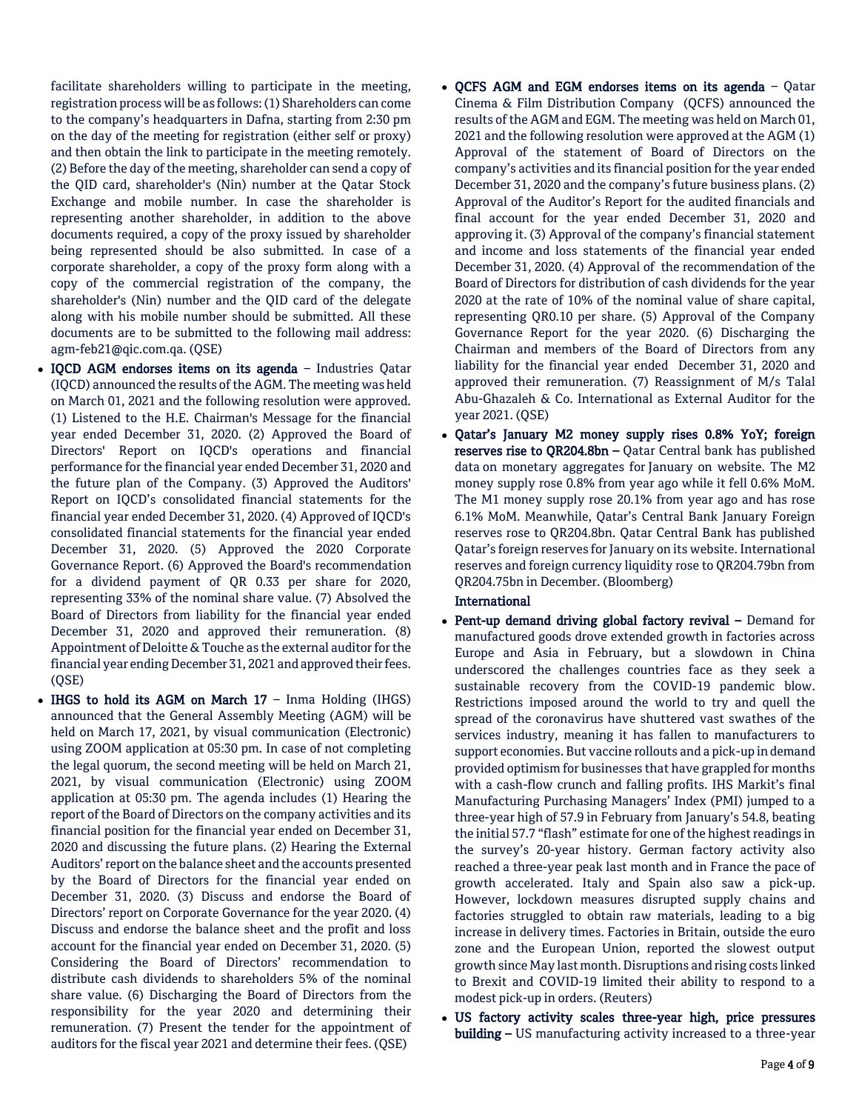facilitate shareholders willing to participate in the meeting, registration process will be as follows: (1) Shareholders can come to the company's headquarters in Dafna, starting from 2:30 pm on the day of the meeting for registration (either self or proxy) and then obtain the link to participate in the meeting remotely. (2) Before the day of the meeting, shareholder can send a copy of the QID card, shareholder's (Nin) number at the Qatar Stock Exchange and mobile number. In case the shareholder is representing another shareholder, in addition to the above documents required, a copy of the proxy issued by shareholder being represented should be also submitted. In case of a corporate shareholder, a copy of the proxy form along with a copy of the commercial registration of the company, the shareholder's (Nin) number and the QID card of the delegate along with his mobile number should be submitted. All these documents are to be submitted to the following mail address: agm-feb21@qic.com.qa. (QSE)

- IQCD AGM endorses items on its agenda Industries Qatar (IQCD) announced the results of the AGM. The meeting was held on March 01, 2021 and the following resolution were approved. (1) Listened to the H.E. Chairman's Message for the financial year ended December 31, 2020. (2) Approved the Board of Directors' Report on IQCD's operations and financial performance for the financial year ended December 31, 2020 and the future plan of the Company. (3) Approved the Auditors' Report on IQCD's consolidated financial statements for the financial year ended December 31, 2020. (4) Approved of IQCD's consolidated financial statements for the financial year ended December 31, 2020. (5) Approved the 2020 Corporate Governance Report. (6) Approved the Board's recommendation for a dividend payment of QR 0.33 per share for 2020, representing 33% of the nominal share value. (7) Absolved the Board of Directors from liability for the financial year ended December 31, 2020 and approved their remuneration. (8) Appointment of Deloitte & Touche as the external auditor for the financial year ending December 31, 2021 and approved their fees. (QSE)
- IHGS to hold its AGM on March  $17$  Inma Holding (IHGS) announced that the General Assembly Meeting (AGM) will be held on March 17, 2021, by visual communication (Electronic) using ZOOM application at 05:30 pm. In case of not completing the legal quorum, the second meeting will be held on March 21, 2021, by visual communication (Electronic) using ZOOM application at 05:30 pm. The agenda includes (1) Hearing the report of the Board of Directors on the company activities and its financial position for the financial year ended on December 31, 2020 and discussing the future plans. (2) Hearing the External Auditors' report on the balance sheet and the accounts presented by the Board of Directors for the financial year ended on December 31, 2020. (3) Discuss and endorse the Board of Directors' report on Corporate Governance for the year 2020. (4) Discuss and endorse the balance sheet and the profit and loss account for the financial year ended on December 31, 2020. (5) Considering the Board of Directors' recommendation to distribute cash dividends to shareholders 5% of the nominal share value. (6) Discharging the Board of Directors from the responsibility for the year 2020 and determining their remuneration. (7) Present the tender for the appointment of auditors for the fiscal year 2021 and determine their fees. (QSE)
- QCFS AGM and EGM endorses items on its agenda Qatar Cinema & Film Distribution Company (QCFS) announced the results of the AGM and EGM. The meeting was held on March 01, 2021 and the following resolution were approved at the AGM (1) Approval of the statement of Board of Directors on the company's activities and its financial position for the year ended December 31, 2020 and the company's future business plans. (2) Approval of the Auditor's Report for the audited financials and final account for the year ended December 31, 2020 and approving it. (3) Approval of the company's financial statement and income and loss statements of the financial year ended December 31, 2020. (4) Approval of the recommendation of the Board of Directors for distribution of cash dividends for the year 2020 at the rate of 10% of the nominal value of share capital, representing QR0.10 per share. (5) Approval of the Company Governance Report for the year 2020. (6) Discharging the Chairman and members of the Board of Directors from any liability for the financial year ended December 31, 2020 and approved their remuneration. (7) Reassignment of M/s Talal Abu-Ghazaleh & Co. International as External Auditor for the year 2021. (QSE)
- Qatar's January M2 money supply rises 0.8% YoY; foreign reserves rise to QR204.8bn – Qatar Central bank has published data on monetary aggregates for January on website. The M2 money supply rose 0.8% from year ago while it fell 0.6% MoM. The M1 money supply rose 20.1% from year ago and has rose 6.1% MoM. Meanwhile, Qatar's Central Bank January Foreign reserves rose to QR204.8bn. Qatar Central Bank has published Qatar's foreign reserves for January on its website. International reserves and foreign currency liquidity rose to QR204.79bn from QR204.75bn in December. (Bloomberg)

### International

- Pent-up demand driving global factory revival Demand for manufactured goods drove extended growth in factories across Europe and Asia in February, but a slowdown in China underscored the challenges countries face as they seek a sustainable recovery from the COVID-19 pandemic blow. Restrictions imposed around the world to try and quell the spread of the coronavirus have shuttered vast swathes of the services industry, meaning it has fallen to manufacturers to support economies. But vaccine rollouts and a pick-up in demand provided optimism for businesses that have grappled for months with a cash-flow crunch and falling profits. IHS Markit's final Manufacturing Purchasing Managers' Index (PMI) jumped to a three-year high of 57.9 in February from January's 54.8, beating the initial 57.7 "flash" estimate for one of the highest readings in the survey's 20-year history. German factory activity also reached a three-year peak last month and in France the pace of growth accelerated. Italy and Spain also saw a pick-up. However, lockdown measures disrupted supply chains and factories struggled to obtain raw materials, leading to a big increase in delivery times. Factories in Britain, outside the euro zone and the European Union, reported the slowest output growth since May last month. Disruptions and rising costs linked to Brexit and COVID-19 limited their ability to respond to a modest pick-up in orders. (Reuters)
- US factory activity scales three-year high, price pressures building - US manufacturing activity increased to a three-year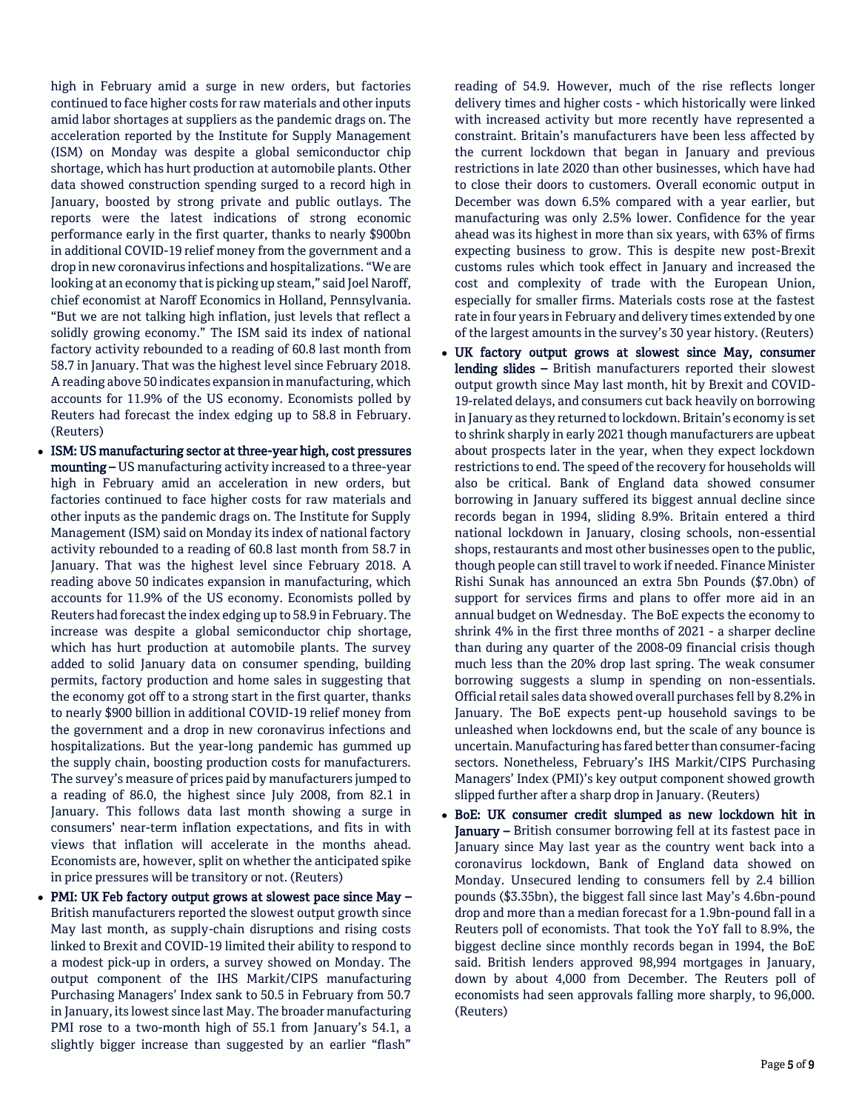high in February amid a surge in new orders, but factories continued to face higher costs for raw materials and other inputs amid labor shortages at suppliers as the pandemic drags on. The acceleration reported by the Institute for Supply Management (ISM) on Monday was despite a global semiconductor chip shortage, which has hurt production at automobile plants. Other data showed construction spending surged to a record high in January, boosted by strong private and public outlays. The reports were the latest indications of strong economic performance early in the first quarter, thanks to nearly \$900bn in additional COVID-19 relief money from the government and a drop in new coronavirus infections and hospitalizations. "We are looking at an economy that is picking up steam," said Joel Naroff, chief economist at Naroff Economics in Holland, Pennsylvania. "But we are not talking high inflation, just levels that reflect a solidly growing economy." The ISM said its index of national factory activity rebounded to a reading of 60.8 last month from 58.7 in January. That was the highest level since February 2018. A reading above 50 indicates expansion in manufacturing, which accounts for 11.9% of the US economy. Economists polled by Reuters had forecast the index edging up to 58.8 in February. (Reuters)

- ISM: US manufacturing sector at three-year high, cost pressures mounting – US manufacturing activity increased to a three-year high in February amid an acceleration in new orders, but factories continued to face higher costs for raw materials and other inputs as the pandemic drags on. The Institute for Supply Management (ISM) said on Monday its index of national factory activity rebounded to a reading of 60.8 last month from 58.7 in January. That was the highest level since February 2018. A reading above 50 indicates expansion in manufacturing, which accounts for 11.9% of the US economy. Economists polled by Reuters had forecast the index edging up to 58.9 in February. The increase was despite a global semiconductor chip shortage, which has hurt production at automobile plants. The survey added to solid January data on consumer spending, building permits, factory production and home sales in suggesting that the economy got off to a strong start in the first quarter, thanks to nearly \$900 billion in additional COVID-19 relief money from the government and a drop in new coronavirus infections and hospitalizations. But the year-long pandemic has gummed up the supply chain, boosting production costs for manufacturers. The survey's measure of prices paid by manufacturers jumped to a reading of 86.0, the highest since July 2008, from 82.1 in January. This follows data last month showing a surge in consumers' near-term inflation expectations, and fits in with views that inflation will accelerate in the months ahead. Economists are, however, split on whether the anticipated spike in price pressures will be transitory or not. (Reuters)
- PMI: UK Feb factory output grows at slowest pace since May British manufacturers reported the slowest output growth since May last month, as supply-chain disruptions and rising costs linked to Brexit and COVID-19 limited their ability to respond to a modest pick-up in orders, a survey showed on Monday. The output component of the IHS Markit/CIPS manufacturing Purchasing Managers' Index sank to 50.5 in February from 50.7 in January, its lowest since last May. The broader manufacturing PMI rose to a two-month high of 55.1 from January's 54.1, a slightly bigger increase than suggested by an earlier "flash"

reading of 54.9. However, much of the rise reflects longer delivery times and higher costs - which historically were linked with increased activity but more recently have represented a constraint. Britain's manufacturers have been less affected by the current lockdown that began in January and previous restrictions in late 2020 than other businesses, which have had to close their doors to customers. Overall economic output in December was down 6.5% compared with a year earlier, but manufacturing was only 2.5% lower. Confidence for the year ahead was its highest in more than six years, with 63% of firms expecting business to grow. This is despite new post-Brexit customs rules which took effect in January and increased the cost and complexity of trade with the European Union, especially for smaller firms. Materials costs rose at the fastest rate in four years in February and delivery times extended by one of the largest amounts in the survey's 30 year history. (Reuters)

- UK factory output grows at slowest since May, consumer lending slides - British manufacturers reported their slowest output growth since May last month, hit by Brexit and COVID-19-related delays, and consumers cut back heavily on borrowing in January as they returned to lockdown. Britain's economy is set to shrink sharply in early 2021 though manufacturers are upbeat about prospects later in the year, when they expect lockdown restrictions to end. The speed of the recovery for households will also be critical. Bank of England data showed consumer borrowing in January suffered its biggest annual decline since records began in 1994, sliding 8.9%. Britain entered a third national lockdown in January, closing schools, non-essential shops, restaurants and most other businesses open to the public, though people can still travel to work if needed. Finance Minister Rishi Sunak has announced an extra 5bn Pounds (\$7.0bn) of support for services firms and plans to offer more aid in an annual budget on Wednesday. The BoE expects the economy to shrink 4% in the first three months of 2021 - a sharper decline than during any quarter of the 2008-09 financial crisis though much less than the 20% drop last spring. The weak consumer borrowing suggests a slump in spending on non-essentials. Official retail sales data showed overall purchases fell by 8.2% in January. The BoE expects pent-up household savings to be unleashed when lockdowns end, but the scale of any bounce is uncertain. Manufacturing has fared better than consumer-facing sectors. Nonetheless, February's IHS Markit/CIPS Purchasing Managers' Index (PMI)'s key output component showed growth slipped further after a sharp drop in January. (Reuters)
- BoE: UK consumer credit slumped as new lockdown hit in January - British consumer borrowing fell at its fastest pace in January since May last year as the country went back into a coronavirus lockdown, Bank of England data showed on Monday. Unsecured lending to consumers fell by 2.4 billion pounds (\$3.35bn), the biggest fall since last May's 4.6bn-pound drop and more than a median forecast for a 1.9bn-pound fall in a Reuters poll of economists. That took the YoY fall to 8.9%, the biggest decline since monthly records began in 1994, the BoE said. British lenders approved 98,994 mortgages in January, down by about 4,000 from December. The Reuters poll of economists had seen approvals falling more sharply, to 96,000. (Reuters)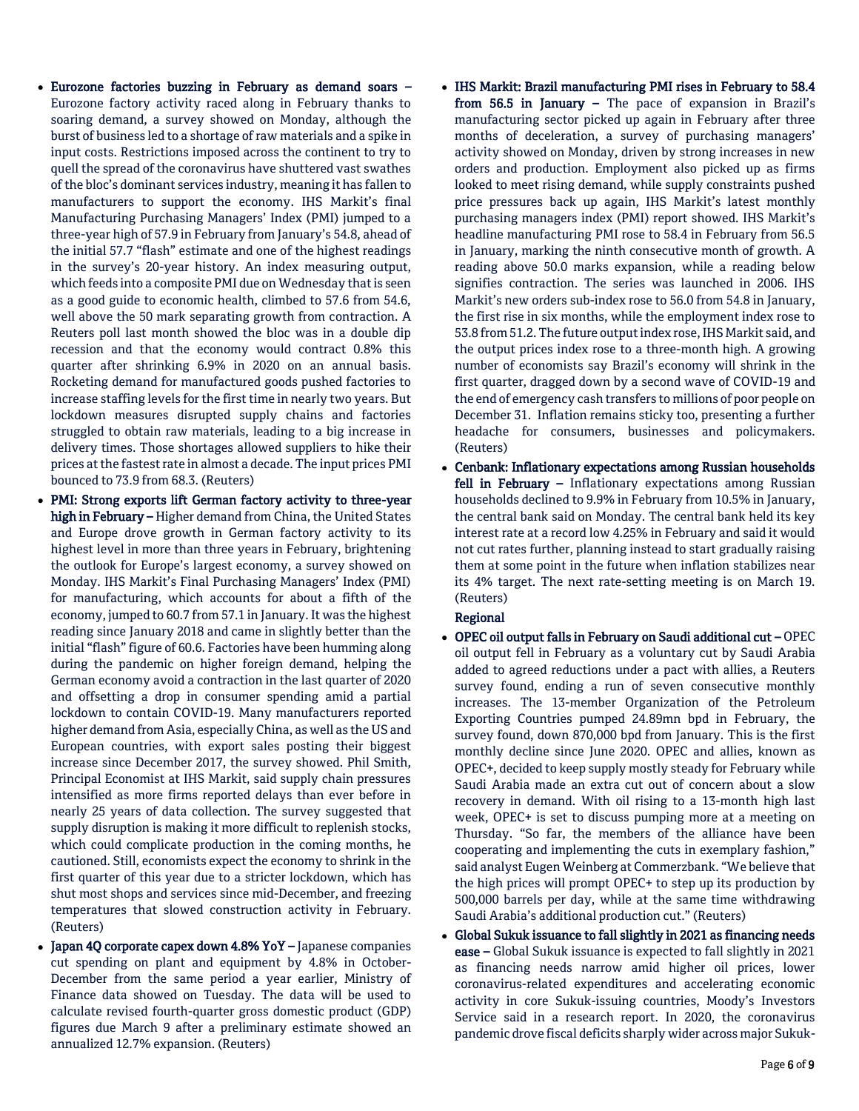- Eurozone factories buzzing in February as demand soars Eurozone factory activity raced along in February thanks to soaring demand, a survey showed on Monday, although the burst of business led to a shortage of raw materials and a spike in input costs. Restrictions imposed across the continent to try to quell the spread of the coronavirus have shuttered vast swathes of the bloc's dominant services industry, meaning it has fallen to manufacturers to support the economy. IHS Markit's final Manufacturing Purchasing Managers' Index (PMI) jumped to a three-year high of 57.9 in February from January's 54.8, ahead of the initial 57.7 "flash" estimate and one of the highest readings in the survey's 20-year history. An index measuring output, which feeds into a composite PMI due on Wednesday that is seen as a good guide to economic health, climbed to 57.6 from 54.6, well above the 50 mark separating growth from contraction. A Reuters poll last month showed the bloc was in a double dip recession and that the economy would contract 0.8% this quarter after shrinking 6.9% in 2020 on an annual basis. Rocketing demand for manufactured goods pushed factories to increase staffing levels for the first time in nearly two years. But lockdown measures disrupted supply chains and factories struggled to obtain raw materials, leading to a big increase in delivery times. Those shortages allowed suppliers to hike their prices at the fastest rate in almost a decade. The input prices PMI bounced to 73.9 from 68.3. (Reuters)
- PMI: Strong exports lift German factory activity to three-year high in February - Higher demand from China, the United States and Europe drove growth in German factory activity to its highest level in more than three years in February, brightening the outlook for Europe's largest economy, a survey showed on Monday. IHS Markit's Final Purchasing Managers' Index (PMI) for manufacturing, which accounts for about a fifth of the economy, jumped to 60.7 from 57.1 in January. It was the highest reading since January 2018 and came in slightly better than the initial "flash" figure of 60.6. Factories have been humming along during the pandemic on higher foreign demand, helping the German economy avoid a contraction in the last quarter of 2020 and offsetting a drop in consumer spending amid a partial lockdown to contain COVID-19. Many manufacturers reported higher demand from Asia, especially China, as well as the US and European countries, with export sales posting their biggest increase since December 2017, the survey showed. Phil Smith, Principal Economist at IHS Markit, said supply chain pressures intensified as more firms reported delays than ever before in nearly 25 years of data collection. The survey suggested that supply disruption is making it more difficult to replenish stocks, which could complicate production in the coming months, he cautioned. Still, economists expect the economy to shrink in the first quarter of this year due to a stricter lockdown, which has shut most shops and services since mid-December, and freezing temperatures that slowed construction activity in February. (Reuters)
- Japan 4Q corporate capex down 4.8% YoY Japanese companies cut spending on plant and equipment by 4.8% in October-December from the same period a year earlier, Ministry of Finance data showed on Tuesday. The data will be used to calculate revised fourth-quarter gross domestic product (GDP) figures due March 9 after a preliminary estimate showed an annualized 12.7% expansion. (Reuters)
- IHS Markit: Brazil manufacturing PMI rises in February to 58.4 from 56.5 in January – The pace of expansion in Brazil's manufacturing sector picked up again in February after three months of deceleration, a survey of purchasing managers' activity showed on Monday, driven by strong increases in new orders and production. Employment also picked up as firms looked to meet rising demand, while supply constraints pushed price pressures back up again, IHS Markit's latest monthly purchasing managers index (PMI) report showed. IHS Markit's headline manufacturing PMI rose to 58.4 in February from 56.5 in January, marking the ninth consecutive month of growth. A reading above 50.0 marks expansion, while a reading below signifies contraction. The series was launched in 2006. IHS Markit's new orders sub-index rose to 56.0 from 54.8 in January, the first rise in six months, while the employment index rose to 53.8 from 51.2. The future output index rose, IHS Markit said, and the output prices index rose to a three-month high. A growing number of economists say Brazil's economy will shrink in the first quarter, dragged down by a second wave of COVID-19 and the end of emergency cash transfers to millions of poor people on December 31. Inflation remains sticky too, presenting a further headache for consumers, businesses and policymakers. (Reuters)
- Cenbank: Inflationary expectations among Russian households fell in February - Inflationary expectations among Russian households declined to 9.9% in February from 10.5% in January, the central bank said on Monday. The central bank held its key interest rate at a record low 4.25% in February and said it would not cut rates further, planning instead to start gradually raising them at some point in the future when inflation stabilizes near its 4% target. The next rate-setting meeting is on March 19. (Reuters)

### Regional

- OPEC oil output falls in February on Saudi additional cut OPEC oil output fell in February as a voluntary cut by Saudi Arabia added to agreed reductions under a pact with allies, a Reuters survey found, ending a run of seven consecutive monthly increases. The 13-member Organization of the Petroleum Exporting Countries pumped 24.89mn bpd in February, the survey found, down 870,000 bpd from January. This is the first monthly decline since June 2020. OPEC and allies, known as OPEC+, decided to keep supply mostly steady for February while Saudi Arabia made an extra cut out of concern about a slow recovery in demand. With oil rising to a 13-month high last week, OPEC+ is set to discuss pumping more at a meeting on Thursday. "So far, the members of the alliance have been cooperating and implementing the cuts in exemplary fashion," said analyst Eugen Weinberg at Commerzbank. "We believe that the high prices will prompt OPEC+ to step up its production by 500,000 barrels per day, while at the same time withdrawing Saudi Arabia's additional production cut." (Reuters)
- Global Sukuk issuance to fall slightly in 2021 as financing needs ease – Global Sukuk issuance is expected to fall slightly in 2021 as financing needs narrow amid higher oil prices, lower coronavirus-related expenditures and accelerating economic activity in core Sukuk-issuing countries, Moody's Investors Service said in a research report. In 2020, the coronavirus pandemic drove fiscal deficits sharply wider across major Sukuk-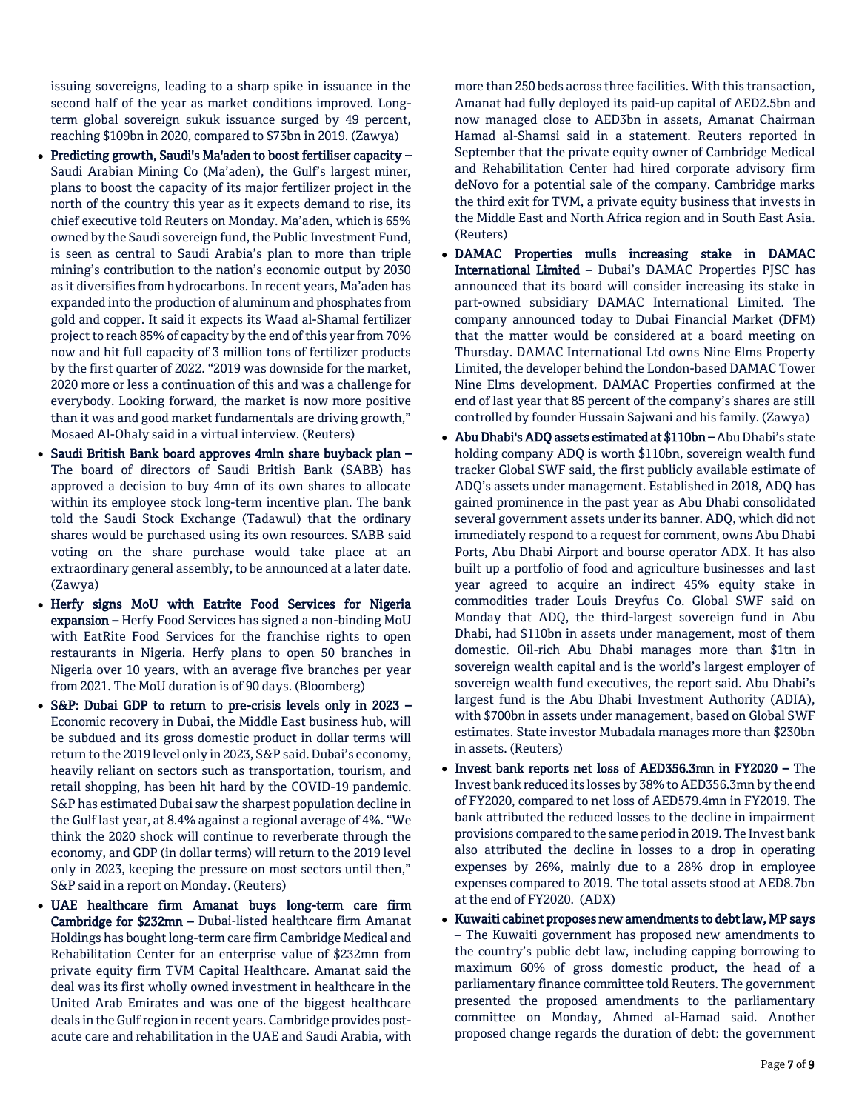issuing sovereigns, leading to a sharp spike in issuance in the second half of the year as market conditions improved. Longterm global sovereign sukuk issuance surged by 49 percent, reaching \$109bn in 2020, compared to \$73bn in 2019. (Zawya)

- Predicting growth, Saudi's Ma'aden to boost fertiliser capacity Saudi Arabian Mining Co (Ma'aden), the Gulf's largest miner, plans to boost the capacity of its major fertilizer project in the north of the country this year as it expects demand to rise, its chief executive told Reuters on Monday. Ma'aden, which is 65% owned by the Saudi sovereign fund, the Public Investment Fund, is seen as central to Saudi Arabia's plan to more than triple mining's contribution to the nation's economic output by 2030 as it diversifies from hydrocarbons. In recent years, Ma'aden has expanded into the production of aluminum and phosphates from gold and copper. It said it expects its Waad al-Shamal fertilizer project to reach 85% of capacity by the end of this year from 70% now and hit full capacity of 3 million tons of fertilizer products by the first quarter of 2022. "2019 was downside for the market, 2020 more or less a continuation of this and was a challenge for everybody. Looking forward, the market is now more positive than it was and good market fundamentals are driving growth," Mosaed Al-Ohaly said in a virtual interview. (Reuters)
- Saudi British Bank board approves 4mln share buyback plan The board of directors of Saudi British Bank (SABB) has approved a decision to buy 4mn of its own shares to allocate within its employee stock long-term incentive plan. The bank told the Saudi Stock Exchange (Tadawul) that the ordinary shares would be purchased using its own resources. SABB said voting on the share purchase would take place at an extraordinary general assembly, to be announced at a later date. (Zawya)
- Herfy signs MoU with Eatrite Food Services for Nigeria expansion – Herfy Food Services has signed a non-binding MoU with EatRite Food Services for the franchise rights to open restaurants in Nigeria. Herfy plans to open 50 branches in Nigeria over 10 years, with an average five branches per year from 2021. The MoU duration is of 90 days. (Bloomberg)
- S&P: Dubai GDP to return to pre-crisis levels only in 2023 Economic recovery in Dubai, the Middle East business hub, will be subdued and its gross domestic product in dollar terms will return to the 2019 level only in 2023, S&P said. Dubai's economy, heavily reliant on sectors such as transportation, tourism, and retail shopping, has been hit hard by the COVID-19 pandemic. S&P has estimated Dubai saw the sharpest population decline in the Gulf last year, at 8.4% against a regional average of 4%. "We think the 2020 shock will continue to reverberate through the economy, and GDP (in dollar terms) will return to the 2019 level only in 2023, keeping the pressure on most sectors until then," S&P said in a report on Monday. (Reuters)
- UAE healthcare firm Amanat buys long-term care firm Cambridge for \$232mn – Dubai-listed healthcare firm Amanat Holdings has bought long-term care firm Cambridge Medical and Rehabilitation Center for an enterprise value of \$232mn from private equity firm TVM Capital Healthcare. Amanat said the deal was its first wholly owned investment in healthcare in the United Arab Emirates and was one of the biggest healthcare deals in the Gulf region in recent years. Cambridge provides postacute care and rehabilitation in the UAE and Saudi Arabia, with

more than 250 beds across three facilities. With this transaction, Amanat had fully deployed its paid-up capital of AED2.5bn and now managed close to AED3bn in assets, Amanat Chairman Hamad al-Shamsi said in a statement. Reuters reported in September that the private equity owner of Cambridge Medical and Rehabilitation Center had hired corporate advisory firm deNovo for a potential sale of the company. Cambridge marks the third exit for TVM, a private equity business that invests in the Middle East and North Africa region and in South East Asia. (Reuters)

- DAMAC Properties mulls increasing stake in DAMAC International Limited – Dubai's DAMAC Properties PJSC has announced that its board will consider increasing its stake in part-owned subsidiary DAMAC International Limited. The company announced today to Dubai Financial Market (DFM) that the matter would be considered at a board meeting on Thursday. DAMAC International Ltd owns Nine Elms Property Limited, the developer behind the London-based DAMAC Tower Nine Elms development. DAMAC Properties confirmed at the end of last year that 85 percent of the company's shares are still controlled by founder Hussain Sajwani and his family. (Zawya)
- Abu Dhabi's ADQ assets estimated at \$110bn Abu Dhabi's state holding company ADQ is worth \$110bn, sovereign wealth fund tracker Global SWF said, the first publicly available estimate of ADQ's assets under management. Established in 2018, ADQ has gained prominence in the past year as Abu Dhabi consolidated several government assets under its banner. ADQ, which did not immediately respond to a request for comment, owns Abu Dhabi Ports, Abu Dhabi Airport and bourse operator ADX. It has also built up a portfolio of food and agriculture businesses and last year agreed to acquire an indirect 45% equity stake in commodities trader Louis Dreyfus Co. Global SWF said on Monday that ADQ, the third-largest sovereign fund in Abu Dhabi, had \$110bn in assets under management, most of them domestic. Oil-rich Abu Dhabi manages more than \$1tn in sovereign wealth capital and is the world's largest employer of sovereign wealth fund executives, the report said. Abu Dhabi's largest fund is the Abu Dhabi Investment Authority (ADIA), with \$700bn in assets under management, based on Global SWF estimates. State investor Mubadala manages more than \$230bn in assets. (Reuters)
- Invest bank reports net loss of AED356.3mn in FY2020 The Invest bank reduced its losses by 38% to AED356.3mn by the end of FY2020, compared to net loss of AED579.4mn in FY2019. The bank attributed the reduced losses to the decline in impairment provisions compared to the same period in 2019. The Invest bank also attributed the decline in losses to a drop in operating expenses by 26%, mainly due to a 28% drop in employee expenses compared to 2019. The total assets stood at AED8.7bn at the end of FY2020. (ADX)
- Kuwaiti cabinet proposes new amendments to debt law, MP says – The Kuwaiti government has proposed new amendments to the country's public debt law, including capping borrowing to maximum 60% of gross domestic product, the head of a parliamentary finance committee told Reuters. The government presented the proposed amendments to the parliamentary committee on Monday, Ahmed al-Hamad said. Another proposed change regards the duration of debt: the government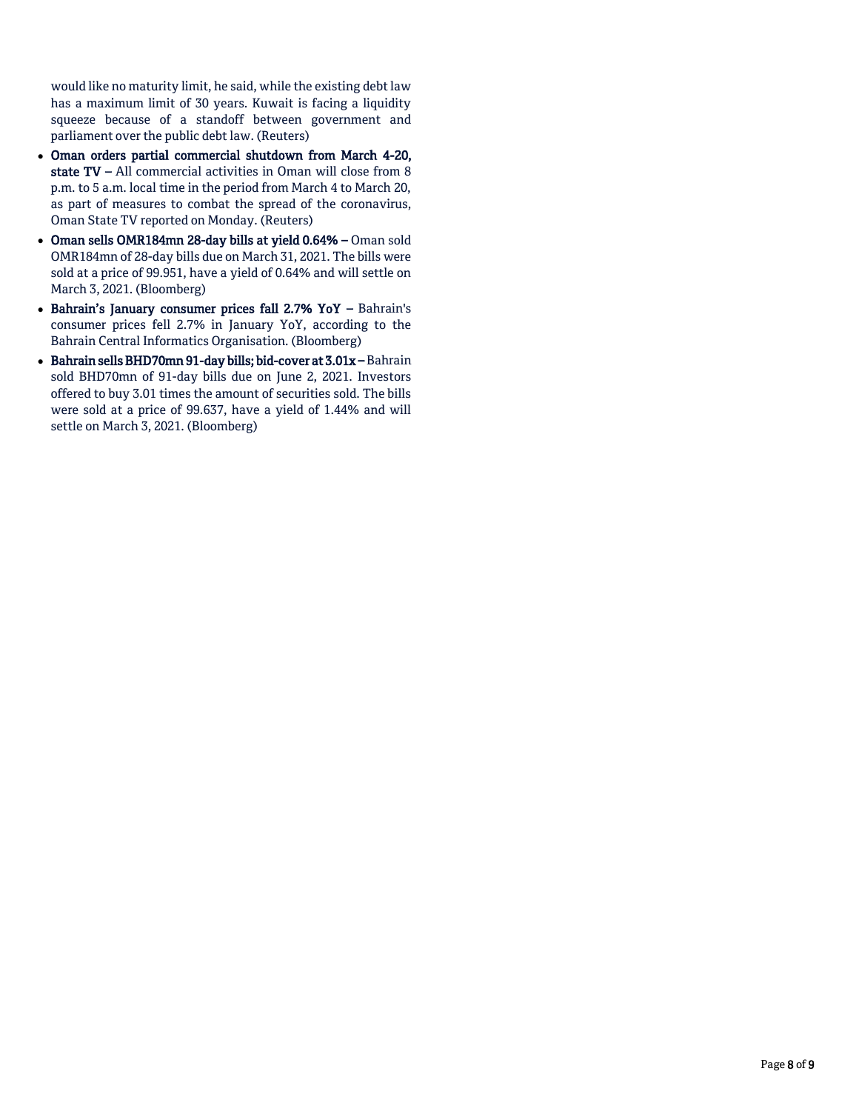would like no maturity limit, he said, while the existing debt law has a maximum limit of 30 years. Kuwait is facing a liquidity squeeze because of a standoff between government and parliament over the public debt law. (Reuters)

- Oman orders partial commercial shutdown from March 4-20, state TV – All commercial activities in Oman will close from 8 p.m. to 5 a.m. local time in the period from March 4 to March 20, as part of measures to combat the spread of the coronavirus, Oman State TV reported on Monday. (Reuters)
- Oman sells OMR184mn 28-day bills at yield 0.64% Oman sold OMR184mn of 28-day bills due on March 31, 2021. The bills were sold at a price of 99.951, have a yield of 0.64% and will settle on March 3, 2021. (Bloomberg)
- Bahrain's January consumer prices fall 2.7% YoY Bahrain's consumer prices fell 2.7% in January YoY, according to the Bahrain Central Informatics Organisation. (Bloomberg)
- Bahrain sells BHD70mn 91-day bills; bid-cover at 3.01x Bahrain sold BHD70mn of 91-day bills due on June 2, 2021. Investors offered to buy 3.01 times the amount of securities sold. The bills were sold at a price of 99.637, have a yield of 1.44% and will settle on March 3, 2021. (Bloomberg)